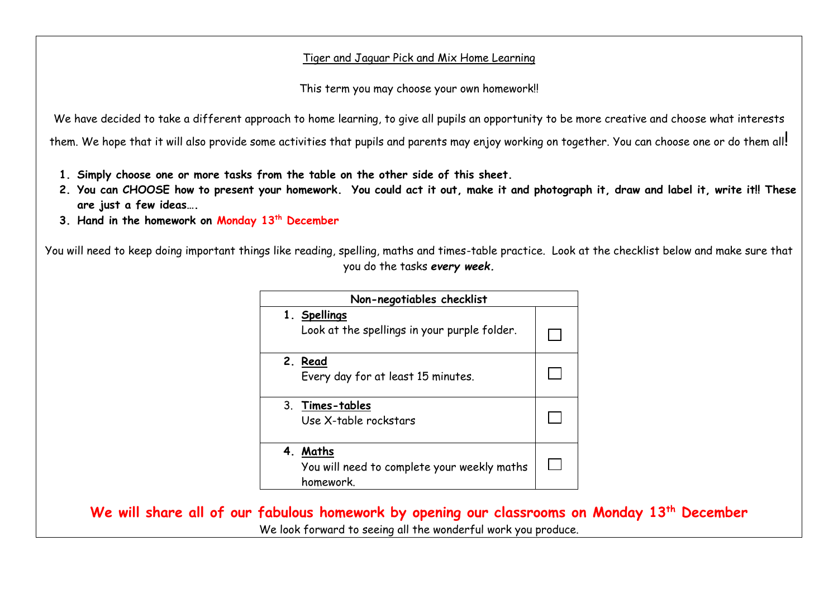## Tiger and Jaguar Pick and Mix Home Learning

This term you may choose your own homework!!

We have decided to take a different approach to home learning, to give all pupils an opportunity to be more creative and choose what interests them. We hope that it will also provide some activities that pupils and parents may enjoy working on together. You can choose one or do them all!

- **1. Simply choose one or more tasks from the table on the other side of this sheet.**
- **2. You can CHOOSE how to present your homework. You could act it out, make it and photograph it, draw and label it, write it!! These are just a few ideas….**
- **3. Hand in the homework on Monday 13th December**

You will need to keep doing important things like reading, spelling, maths and times-table practice. Look at the checklist below and make sure that you do the tasks *every week.*

| Non-negotiables checklist                                               |  |
|-------------------------------------------------------------------------|--|
| 1. Spellings<br>Look at the spellings in your purple folder.            |  |
| 2. Read<br>Every day for at least 15 minutes.                           |  |
| 3. Times-tables<br>Use X-table rockstars                                |  |
| Maths<br>4.<br>You will need to complete your weekly maths<br>homework. |  |

**We will share all of our fabulous homework by opening our classrooms on Monday 13th December** We look forward to seeing all the wonderful work you produce.